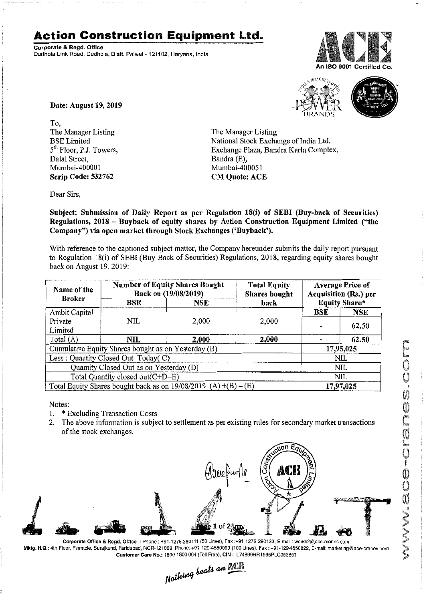## **Action Construction Equipment Ltd.**

Corporate & Regd. Office Dudhola Link Road, Dudhola, Distt. Palwat- 121102, Haryana, India



 $-10$   $MOS$ 



Date: August 19, 2019

To, The Manager Listing BSELimited 5<sup>th</sup> Floor, P.J. Towers, Dalal Street, Mumbai-40000 1 Scrip Code: 532762

The Manager Listing National Stock Exchange of India Ltd. Exchange Plaza, Bandra Kurla Complex, Bandra (E), Mumbai-400051 CM Quote: ACE

Dear Sirs,

Subject: Submission of Daily Report as per Regulation 18(i) of SEBI (Buy-back of Seeurjties) Regulations, 2018 - Buyback of equity shares by Action Construction Equipment Limited ("the Company") via open market through Stock Exchanges ('Buyback').

With reference to the captioned subject matter, the Company hereunder submits the daily report pursuant to Regulation 18(i) of SEBI (Buy Back of Securities) Regulations, 2018, regarding equity shares bought back on August 19,2019:

| Name of the<br><b>Broker</b>                                      | <b>Number of Equity Shares Bought</b><br>Back on (19/08/2019) |            | <b>Total Equity</b><br><b>Shares bought</b> | <b>Average Price of</b><br>Acquisition (Rs.) per |            |  |
|-------------------------------------------------------------------|---------------------------------------------------------------|------------|---------------------------------------------|--------------------------------------------------|------------|--|
|                                                                   | BSE                                                           | <b>NSE</b> | back                                        | <b>Equity Share*</b>                             |            |  |
| Ambit Capital                                                     |                                                               |            |                                             | <b>BSE</b>                                       | <b>NSE</b> |  |
| Private<br>Limited                                                | <b>NIL</b>                                                    | 2,000      | 2,000                                       |                                                  | 62.50      |  |
| Total $(A)$                                                       | NIL                                                           | 2.000      | 2,000                                       |                                                  | 62.50      |  |
| Cumulative Equity Shares bought as on Yesterday (B)               |                                                               |            |                                             |                                                  | 17,95,025  |  |
| Less: Quantity Closed Out Today(C)                                |                                                               |            |                                             | NIL                                              |            |  |
| Quantity Closed Out as on Yesterday (D)                           |                                                               |            |                                             | NIL                                              |            |  |
| Total Quantity closed out(C+D-E)                                  |                                                               |            |                                             | NIL.                                             |            |  |
| Total Equity Shares bought back as on $19/08/2019$ (A) +(B) – (E) |                                                               |            |                                             | 17,97,025                                        |            |  |

Notes:

- 1. \* Excluding Transaction Costs
- 2. The above information is subject to settlement as per existing rules for secondary market transactions of the stock exchanges.



Mktg. H.Q.: 4th Floor. Pinnacle, Surajkund, Faridabad, NCR·121009, Phone: +91-129·4550000 (100 Lines), Fax: +91-129·4550022, E·mail:marketing@ace·cranes.com

Customer Care No.: 1800 1800 004 (Toll Free), CIN: L74899HR1995PLC053860<br>Nathing beats an **Newlite**